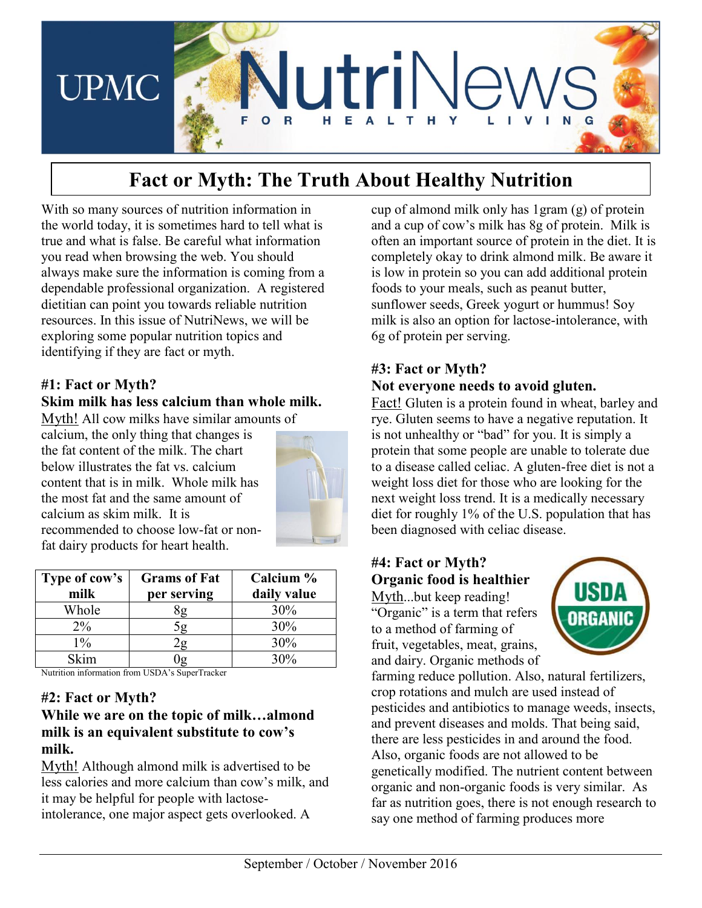

# **Fact or Myth: The Truth About Healthy Nutrition**

With so many sources of nutrition information in the world today, it is sometimes hard to tell what is true and what is false. Be careful what information you read when browsing the web. You should always make sure the information is coming from a dependable professional organization. A registered dietitian can point you towards reliable nutrition resources. In this issue of NutriNews, we will be exploring some popular nutrition topics and identifying if they are fact or myth.

### **#1: Fact or Myth?**

### **Skim milk has less calcium than whole milk.**

Myth! All cow milks have similar amounts of

calcium, the only thing that changes is the fat content of the milk. The chart below illustrates the fat vs. calcium content that is in milk. Whole milk has the most fat and the same amount of calcium as skim milk. It is recommended to choose low-fat or nonfat dairy products for heart health.



| Type of cow's | <b>Grams of Fat</b> | Calcium %   |
|---------------|---------------------|-------------|
| milk          | per serving         | daily value |
| Whole         | íg                  | 30%         |
| $2\%$         | 5g                  | 30%         |
| $1\%$         | 'ջ                  | 30%         |
| Skim          |                     | 30%         |

Nutrition information from USDA's SuperTracker

#### **#2: Fact or Myth?**

### **While we are on the topic of milk…almond milk is an equivalent substitute to cow's milk.**

Myth! Although almond milk is advertised to be less calories and more calcium than cow's milk, and it may be helpful for people with lactoseintolerance, one major aspect gets overlooked. A

cup of almond milk only has 1gram (g) of protein and a cup of cow's milk has 8g of protein. Milk is often an important source of protein in the diet. It is completely okay to drink almond milk. Be aware it is low in protein so you can add additional protein foods to your meals, such as peanut butter, sunflower seeds, Greek yogurt or hummus! Soy milk is also an option for lactose-intolerance, with 6g of protein per serving.

# **#3: Fact or Myth? Not everyone needs to avoid gluten.**

Fact! Gluten is a protein found in wheat, barley and rye. Gluten seems to have a negative reputation. It is not unhealthy or "bad" for you. It is simply a protein that some people are unable to tolerate due to a disease called celiac. A gluten-free diet is not a weight loss diet for those who are looking for the next weight loss trend. It is a medically necessary diet for roughly 1% of the U.S. population that has been diagnosed with celiac disease.

# **#4: Fact or Myth? Organic food is healthier**

Myth...but keep reading! "Organic" is a term that refers to a method of farming of fruit, vegetables, meat, grains, and dairy. Organic methods of



farming reduce pollution. Also, natural fertilizers, crop rotations and mulch are used instead of pesticides and antibiotics to manage weeds, insects, and prevent diseases and molds. That being said, there are less pesticides in and around the food. Also, organic foods are not allowed to be genetically modified. The nutrient content between organic and non-organic foods is very similar. As far as nutrition goes, there is not enough research to say one method of farming produces more